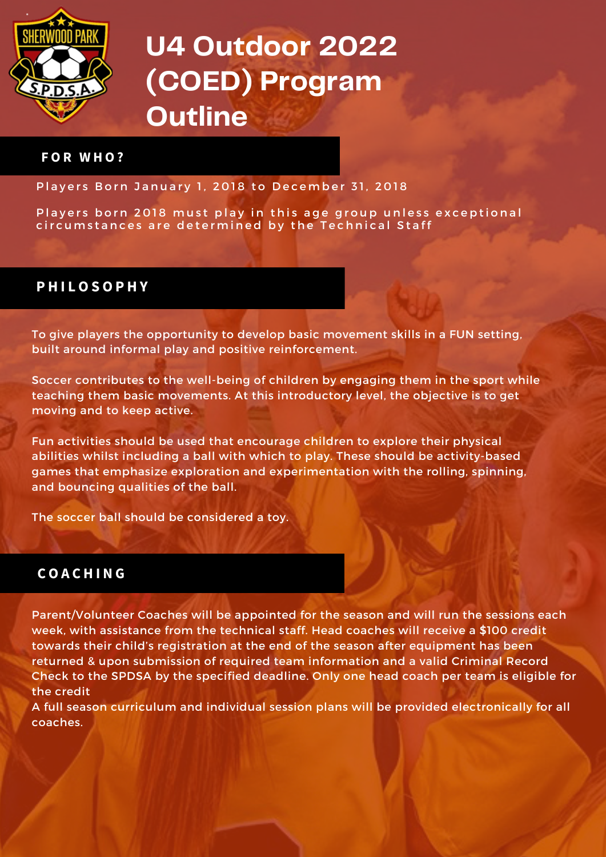

# **U4 Outdoor 2022 (COED) Program Outline**

#### **F O R W H O ?**

Players Born January 1, 2018 to December 31, 2018

Players born 2018 must play in this age group unless exceptional circumstances are determined by the Technical Staff

### **P H I L O S O P H Y**

To give players the opportunity to develop basic movement skills in a FUN setting, built around informal play and positive reinforcement.

Soccer contributes to the well-being of children by engaging them in the sport while teaching them basic movements. At this introductory level, the objective is to get moving and to keep active.

Fun activities should be used that encourage children to explore their physical abilities whilst including a ball with which to play. These should be activity-based games that emphasize exploration and experimentation with the rolling, spinning, and bouncing qualities of the ball.

The soccer ball should be considered a toy.

### **C O A C H I N G**

Parent/Volunteer Coaches will be appointed for the season and will run the sessions each week, with assistance from the technical staff. Head coaches will receive a \$100 credit towards their child's registration at the end of the season after equipment has been returned & upon submission of required team information and a valid Criminal Record Check to the SPDSA by the specified deadline. Only one head coach per team is eligible for the credit

A full season curriculum and individual session plans will be provided electronically for all coaches.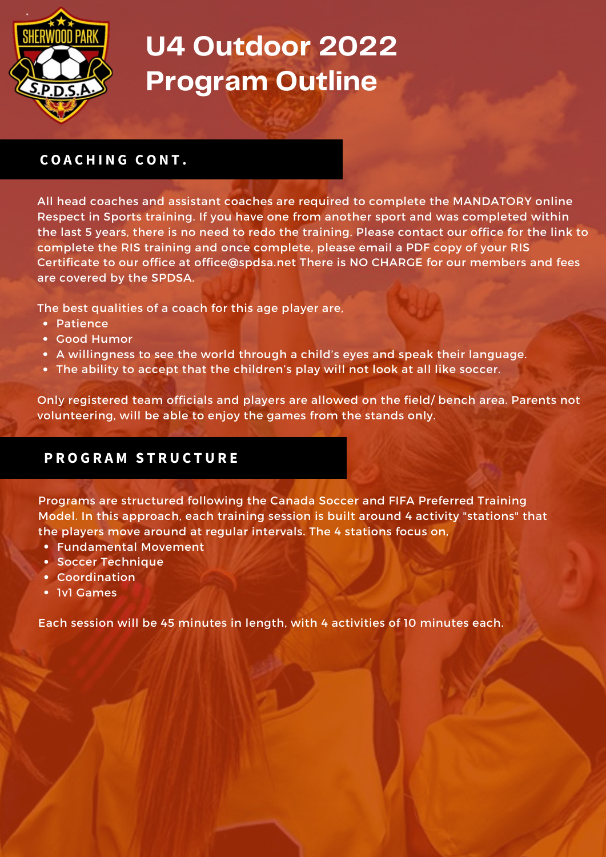

# **U4 Outdoor 2022 Program Outline**

# **C O A C H I N G C O N T .**

All head coaches and assistant coaches are required to complete the MANDATORY online Respect in Sports training. If you have one from another sport and was completed within the last 5 years, there is no need to redo the training. Please contact our office for the link to complete the RIS training and once complete, please email a PDF copy of your RIS Certificate to our office at [office@spdsa.net](mailto:office@spdsa.net) There is NO CHARGE for our members and fees are covered by the SPDSA.

The best qualities of a coach for this age player are,

- Patience
- Good Humor
- A willingness to see the world through a child's eyes and speak their language.
- The ability to accept that the children's play will not look at all like soccer.

Only registered team officials and players are allowed on the field/ bench area. Parents not volunteering, will be able to enjoy the games from the stands only.

## **P R O G R A M S T R U C T U R E**

Programs are structured following the Canada Soccer and FIFA Preferred Training Model. In this approach, each training session is built around 4 activity "stations" that the players move around at regular intervals. The 4 stations focus on,

- Fundamental Movement
- **Soccer Technique**
- Coordination
- 1v1 Games

Each session will be 45 minutes in length, with 4 activities of 10 minutes each.